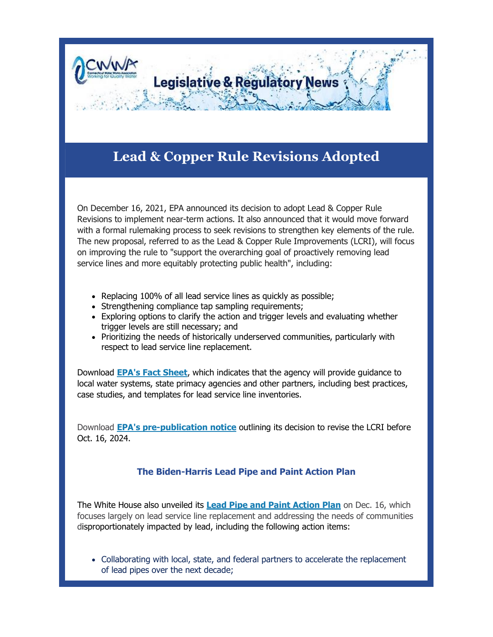

# **Lead & Copper Rule Revisions Adopted**

On December 16, 2021, EPA announced its decision to adopt Lead & Copper Rule Revisions to implement near-term actions. It also announced that it would move forward with a formal rulemaking process to seek revisions to strengthen key elements of the rule. The new proposal, referred to as the Lead & Copper Rule Improvements (LCRI), will focus on improving the rule to "support the overarching goal of proactively removing lead service lines and more equitably protecting public health", including:

- Replacing 100% of all lead service lines as quickly as possible;
- Strengthening compliance tap sampling requirements;
- Exploring options to clarify the action and trigger levels and evaluating whether trigger levels are still necessary; and
- Prioritizing the needs of historically underserved communities, particularly with respect to lead service line replacement.

Download **[EPA's Fact Sheet](https://r20.rs6.net/tn.jsp?f=0015yxqqf_S0kq1H2cPNZGHktD4JLddkrWEoAXKe7SD-oNuGGIXzhvGu_xmLnUFJ45UNScGNWFxytnrI4IgBS5pYfhEUdJcrW57h0T2XWtwXglDOahuoXSlUT5Vr-zuqFkk8qSuyrtlgRQXsb7AMWGMbMkdQfhADQSzmdT3ZjBFLdCbROGeziOY1qfcMNjYwc8hKG1YmWyMdEv8RwSU5Bwm4XZowo5tVbk1p7r_I6DNoS8=&c=_gRVP20jKXyUs7SfbMoE7GJBY-SWZjp6TUopbOJ923ETMpC_xwyIXw==&ch=3tExsSK58X_6qZGAj40Eqkz-esME-frm8UpiLlgycey0YGUK3rEswA==)**, which indicates that the agency will provide guidance to local water systems, state primacy agencies and other partners, including best practices, case studies, and templates for lead service line inventories.

Download **[EPA's pre-publication notice](https://r20.rs6.net/tn.jsp?f=0015yxqqf_S0kq1H2cPNZGHktD4JLddkrWEoAXKe7SD-oNuGGIXzhvGu_xmLnUFJ45Ug8m65IX4iSXgS3Em7QMe_-pemeBjttSDiOFpjPcrJvSEGFK83BQyFmSENjncCr9rDCEsVtxjS_1HGXx9gciKIjpWJb4mO1XEzmtLLbw9dpU5fOh9EbPCmH_ehwishLQ7uQgADBwf0cW8lPtToV1Ly6Q5GKYipZlLn9F_56mhEyeO6W6iwEblT0d6glRgaCr9&c=_gRVP20jKXyUs7SfbMoE7GJBY-SWZjp6TUopbOJ923ETMpC_xwyIXw==&ch=3tExsSK58X_6qZGAj40Eqkz-esME-frm8UpiLlgycey0YGUK3rEswA==)** outlining its decision to revise the LCRI before Oct. 16, 2024.

#### **The Biden-Harris Lead Pipe and Paint Action Plan**

The White House also unveiled its **[Lead Pipe and Paint Action Plan](https://r20.rs6.net/tn.jsp?f=0015yxqqf_S0kq1H2cPNZGHktD4JLddkrWEoAXKe7SD-oNuGGIXzhvGu_xmLnUFJ45Ukc53PWkIjQR-McxolShFSZEiDrq7b4f8LgC51NBMfUs3JFX64HmdVyHXnc8f0KUbXNRC_HBJYwElNdBC5L1WzuUipuPxS0vwxUWSccJzO9E2ZF4_tYghfeH5szjls4knVFxsMEvZef9rELkiSOdNZF-D1NtF1RT5G4e8Xrxm2vNncLAWWWNd93lGAXmknm9IWq_-gQSkaYQRo9jZChilEu1EAv6FQa--mB9CoyBNR8molVSg39U7kA==&c=_gRVP20jKXyUs7SfbMoE7GJBY-SWZjp6TUopbOJ923ETMpC_xwyIXw==&ch=3tExsSK58X_6qZGAj40Eqkz-esME-frm8UpiLlgycey0YGUK3rEswA==)** on Dec. 16, which focuses largely on lead service line replacement and addressing the needs of communities disproportionately impacted by lead, including the following action items:

 Collaborating with local, state, and federal partners to accelerate the replacement of lead pipes over the next decade;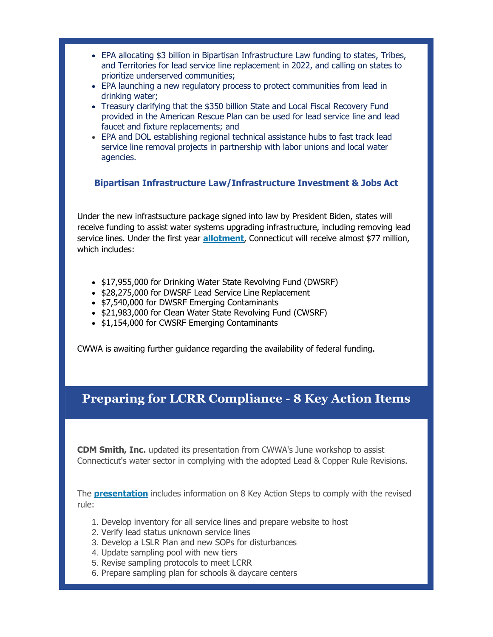- EPA allocating \$3 billion in Bipartisan Infrastructure Law funding to states, Tribes, and Territories for lead service line replacement in 2022, and calling on states to prioritize underserved communities;
- EPA launching a new regulatory process to protect communities from lead in drinking water;
- Treasury clarifying that the \$350 billion State and Local Fiscal Recovery Fund provided in the American Rescue Plan can be used for lead service line and lead faucet and fixture replacements; and
- EPA and DOL establishing regional technical assistance hubs to fast track lead service line removal projects in partnership with labor unions and local water agencies.

#### **Bipartisan Infrastructure Law/Infrastructure Investment & Jobs Act**

Under the new infrastsucture package signed into law by President Biden, states will receive funding to assist water systems upgrading infrastructure, including removing lead service lines. Under the first year **[allotment](https://r20.rs6.net/tn.jsp?f=0015yxqqf_S0kq1H2cPNZGHktD4JLddkrWEoAXKe7SD-oNuGGIXzhvGu_xmLnUFJ45UBUBrWgS8x_wABReTqiS1-hTi7ptSlxOo4lkxYcHvxREgDNs-nNh53owHl1V2I4yT2O9AnpkvSnxXEQBpwqmRDtrwWcSDZkld8mfiGfEYFJFD5WXhf2AH7KNRTKlec0CZuprzoFiqvQChbzt2TVi_eQr2H7p5duVms8DZ9iPXzsqZd1_qJ_xyhQ==&c=_gRVP20jKXyUs7SfbMoE7GJBY-SWZjp6TUopbOJ923ETMpC_xwyIXw==&ch=3tExsSK58X_6qZGAj40Eqkz-esME-frm8UpiLlgycey0YGUK3rEswA==)**, Connecticut will receive almost \$77 million, which includes:

- \$17,955,000 for Drinking Water State Revolving Fund (DWSRF)
- \$28,275,000 for DWSRF Lead Service Line Replacement
- \$7,540,000 for DWSRF Emerging Contaminants
- \$21,983,000 for Clean Water State Revolving Fund (CWSRF)
- \$1,154,000 for CWSRF Emerging Contaminants

CWWA is awaiting further guidance regarding the availability of federal funding.

### **Preparing for LCRR Compliance - 8 Key Action Items**

**CDM Smith, Inc.** updated its presentation from CWWA's June workshop to assist Connecticut's water sector in complying with the adopted Lead & Copper Rule Revisions.

The **[presentation](https://r20.rs6.net/tn.jsp?f=0015yxqqf_S0kq1H2cPNZGHktD4JLddkrWEoAXKe7SD-oNuGGIXzhvGu_xmLnUFJ45UgCRmndzv_W9uylK-Z1w32osDH5X_zFCd0cw8ERQQr6gaZo0o0dxUbGduyhIAg0-J2yJWFYAdV3YNtGKv3GSPCRCLYhVoWgmCEoBd4RP-Fb3Xkn4ZHTUgcP681wROSNBA_H2T4qVC_bJiQqYWpDw3JsvsPZ7k4h34jV02YrMlN78=&c=_gRVP20jKXyUs7SfbMoE7GJBY-SWZjp6TUopbOJ923ETMpC_xwyIXw==&ch=3tExsSK58X_6qZGAj40Eqkz-esME-frm8UpiLlgycey0YGUK3rEswA==)** includes information on 8 Key Action Steps to comply with the revised rule:

- 1. Develop inventory for all service lines and prepare website to host
- 2. Verify lead status unknown service lines
- 3. Develop a LSLR Plan and new SOPs for disturbances
- 4. Update sampling pool with new tiers
- 5. Revise sampling protocols to meet LCRR
- 6. Prepare sampling plan for schools & daycare centers